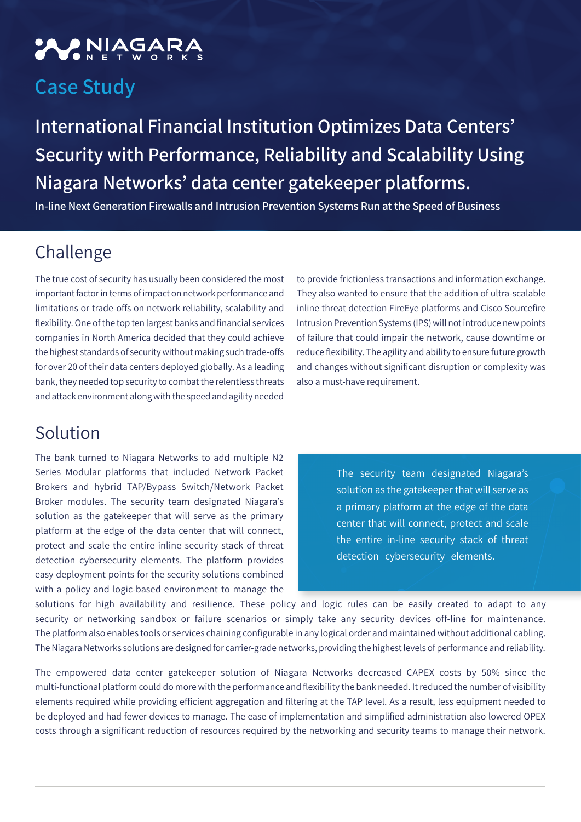## **ANIAGAR**

## **Case Study**

**International Financial Institution Optimizes Data Centers' Security with Performance, Reliability and Scalability Using** Niagara Networks' data center gatekeeper platforms.

**In-line Next Generation Firewalls and Intrusion Prevention Systems Run at the Speed of Business** 

## Challenge

The true cost of security has usually been considered the most important factor in terms of impact on network performance and limitations or trade-offs on network reliability, scalability and flexibility. One of the top ten largest banks and financial services companies in North America decided that they could achieve the highest standards of security without making such trade-offs for over 20 of their data centers deployed globally. As a leading bank, they needed top security to combat the relentless threats and attack environment along with the speed and agility needed

Solution

The bank turned to Niagara Networks to add multiple N2 Series Modular platforms that included Network Packet Brokers and hybrid TAP/Bypass Switch/Network Packet Broker modules. The security team designated Niagara's solution as the gatekeeper that will serve as the primary platform at the edge of the data center that will connect, protect and scale the entire inline security stack of threat detection cybersecurity elements. The platform provides easy deployment points for the security solutions combined with a policy and logic-based environment to manage the

to provide frictionless transactions and information exchange. They also wanted to ensure that the addition of ultra-scalable inline threat detection FireEye platforms and Cisco Sourcefire Intrusion Prevention Systems (IPS) will not introduce new points of failure that could impair the network, cause downtime or reduce flexibility. The agility and ability to ensure future growth and changes without significant disruption or complexity was also a must-have requirement.

> The security team designated Niagara's solution as the gatekeeper that will serve as a primary platform at the edge of the data center that will connect, protect and scale the entire in-line security stack of threat detection cybersecurity elements.

solutions for high availability and resilience. These policy and logic rules can be easily created to adapt to any security or networking sandbox or failure scenarios or simply take any security devices off-line for maintenance. The platform also enables tools or services chaining configurable in any logical order and maintained without additional cabling. The Niagara Networks solutions are designed for carrier-grade networks, providing the highest levels of performance and reliability.

The empowered data center gatekeeper solution of Niagara Networks decreased CAPEX costs by 50% since the multi-functional platform could do more with the performance and flexibility the bank needed. It reduced the number of visibility elements required while providing efficient aggregation and filtering at the TAP level. As a result, less equipment needed to be deployed and had fewer devices to manage. The ease of implementation and simplified administration also lowered OPEX costs through a significant reduction of resources required by the networking and security teams to manage their network.